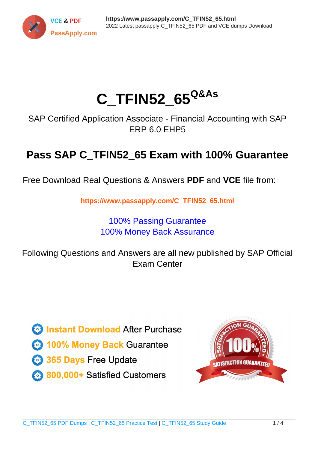

# **C\_TFIN52\_65Q&As**

SAP Certified Application Associate - Financial Accounting with SAP ERP 6.0 EHP5

## **Pass SAP C\_TFIN52\_65 Exam with 100% Guarantee**

Free Download Real Questions & Answers **PDF** and **VCE** file from:

**https://www.passapply.com/C\_TFIN52\_65.html**

### 100% Passing Guarantee 100% Money Back Assurance

Following Questions and Answers are all new published by SAP Official Exam Center

**Colonization** Download After Purchase

- **@ 100% Money Back Guarantee**
- **63 365 Days Free Update**
- 800,000+ Satisfied Customers

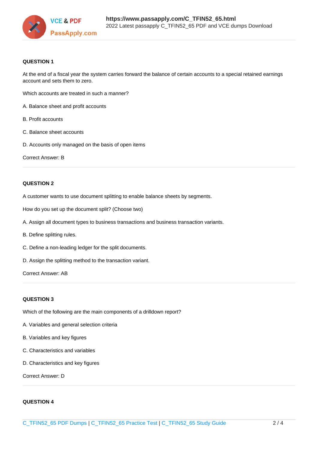

#### **QUESTION 1**

At the end of a fiscal year the system carries forward the balance of certain accounts to a special retained earnings account and sets them to zero.

Which accounts are treated in such a manner?

- A. Balance sheet and profit accounts
- B. Profit accounts
- C. Balance sheet accounts
- D. Accounts only managed on the basis of open items

Correct Answer: B

#### **QUESTION 2**

A customer wants to use document splitting to enable balance sheets by segments.

How do you set up the document split? (Choose two)

- A. Assign all document types to business transactions and business transaction variants.
- B. Define splitting rules.
- C. Define a non-leading ledger for the split documents.
- D. Assign the splitting method to the transaction variant.

Correct Answer: AB

#### **QUESTION 3**

Which of the following are the main components of a drilldown report?

- A. Variables and general selection criteria
- B. Variables and key figures
- C. Characteristics and variables
- D. Characteristics and key figures

Correct Answer: D

#### **QUESTION 4**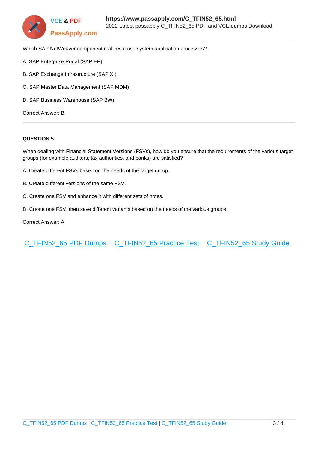

Which SAP NetWeaver component realizes cross-system application processes?

- A. SAP Enterprise Portal (SAP EP)
- B. SAP Exchange Infrastructure (SAP XI)
- C. SAP Master Data Management (SAP MDM)
- D. SAP Business Warehouse (SAP BW)

Correct Answer: B

#### **QUESTION 5**

When dealing with Financial Statement Versions (FSVs), how do you ensure that the requirements of the various target groups (for example auditors, tax authorities, and banks) are satisfied?

- A. Create different FSVs based on the needs of the target group.
- B. Create different versions of the same FSV.
- C. Create one FSV and enhance it with different sets of notes.
- D. Create one FSV, then save different variants based on the needs of the various groups.

Correct Answer: A

[C\\_TFIN52\\_65 PDF Dumps](https://www.passapply.com/C_TFIN52_65.html) [C\\_TFIN52\\_65 Practice Test](https://www.passapply.com/C_TFIN52_65.html) [C\\_TFIN52\\_65 Study Guide](https://www.passapply.com/C_TFIN52_65.html)